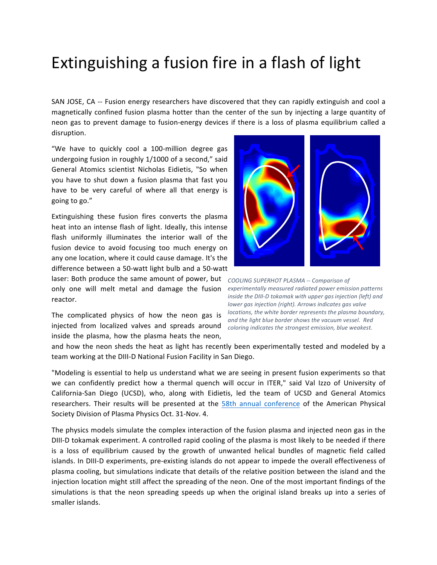## Extinguishing a fusion fire in a flash of light

SAN JOSE, CA -- Fusion energy researchers have discovered that they can rapidly extinguish and cool a magnetically confined fusion plasma hotter than the center of the sun by injecting a large quantity of neon gas to prevent damage to fusion-energy devices if there is a loss of plasma equilibrium called a disruption.

"We have to quickly cool a 100-million degree gas undergoing fusion in roughly 1/1000 of a second," said General Atomics scientist Nicholas Eidietis, "So when you have to shut down a fusion plasma that fast you have to be very careful of where all that energy is going to go."

Extinguishing these fusion fires converts the plasma heat into an intense flash of light. Ideally, this intense flash uniformly illuminates the interior wall of the fusion device to avoid focusing too much energy on any one location, where it could cause damage. It's the difference between a 50-watt light bulb and a 50-watt

laser: Both produce the same amount of power, but cooling super HOSMA -- Comparison of only one will melt metal and damage the fusion experimentally measured radiated power emission patterns reactor.

The complicated physics of how the neon gas is injected from localized valves and spreads around coloring indicates the strongest emission, blue weakest. inside the plasma, how the plasma heats the neon,



*inside the DIII-D tokamak with upper gas injection (left) and lower gas injection (right). Arrows indicates gas valve locations, the white border represents the plasma boundary,* and the light blue border shows the vacuum vessel. Red

and how the neon sheds the heat as light has recently been experimentally tested and modeled by a team working at the DIII-D National Fusion Facility in San Diego.

"Modeling is essential to help us understand what we are seeing in present fusion experiments so that we can confidently predict how a thermal quench will occur in ITER," said Val Izzo of University of California-San Diego (UCSD), who, along with Eidietis, led the team of UCSD and General Atomics researchers. Their results will be presented at the 58th annual conference of the American Physical Society Division of Plasma Physics Oct. 31-Nov. 4.

The physics models simulate the complex interaction of the fusion plasma and injected neon gas in the DIII-D tokamak experiment. A controlled rapid cooling of the plasma is most likely to be needed if there is a loss of equilibrium caused by the growth of unwanted helical bundles of magnetic field called islands. In DIII-D experiments, pre-existing islands do not appear to impede the overall effectiveness of plasma cooling, but simulations indicate that details of the relative position between the island and the injection location might still affect the spreading of the neon. One of the most important findings of the simulations is that the neon spreading speeds up when the original island breaks up into a series of smaller islands.